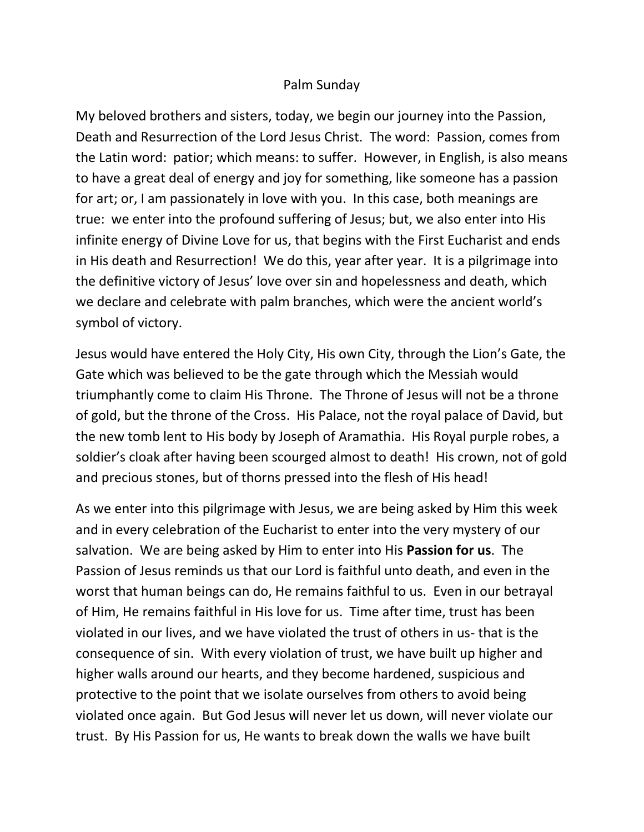## Palm Sunday

My beloved brothers and sisters, today, we begin our journey into the Passion, Death and Resurrection of the Lord Jesus Christ. The word: Passion, comes from the Latin word: patior; which means: to suffer. However, in English, is also means to have a great deal of energy and joy for something, like someone has a passion for art; or, I am passionately in love with you. In this case, both meanings are true: we enter into the profound suffering of Jesus; but, we also enter into His infinite energy of Divine Love for us, that begins with the First Eucharist and ends in His death and Resurrection! We do this, year after year. It is a pilgrimage into the definitive victory of Jesus' love over sin and hopelessness and death, which we declare and celebrate with palm branches, which were the ancient world's symbol of victory.

Jesus would have entered the Holy City, His own City, through the Lion's Gate, the Gate which was believed to be the gate through which the Messiah would triumphantly come to claim His Throne. The Throne of Jesus will not be a throne of gold, but the throne of the Cross. His Palace, not the royal palace of David, but the new tomb lent to His body by Joseph of Aramathia. His Royal purple robes, a soldier's cloak after having been scourged almost to death! His crown, not of gold and precious stones, but of thorns pressed into the flesh of His head!

As we enter into this pilgrimage with Jesus, we are being asked by Him this week and in every celebration of the Eucharist to enter into the very mystery of our salvation. We are being asked by Him to enter into His **Passion for us**. The Passion of Jesus reminds us that our Lord is faithful unto death, and even in the worst that human beings can do, He remains faithful to us. Even in our betrayal of Him, He remains faithful in His love for us. Time after time, trust has been violated in our lives, and we have violated the trust of others in us- that is the consequence of sin. With every violation of trust, we have built up higher and higher walls around our hearts, and they become hardened, suspicious and protective to the point that we isolate ourselves from others to avoid being violated once again. But God Jesus will never let us down, will never violate our trust. By His Passion for us, He wants to break down the walls we have built